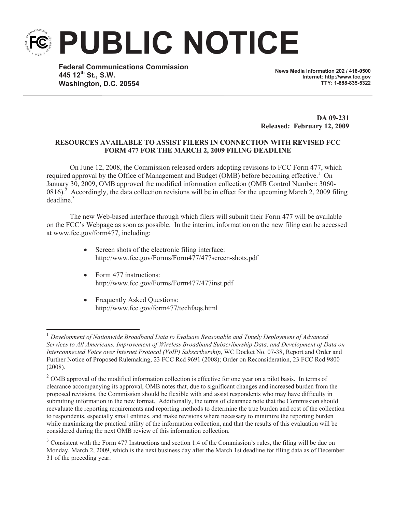**PUBLIC NOTICE**

**Federal Communications Commission 445 12th St., S.W. Washington, D.C. 20554**

**News Media Information 202 / 418-0500 Internet: http://www.fcc.gov TTY: 1-888-835-5322**

**DA 09-231 Released: February 12, 2009**

## **RESOURCES AVAILABLE TO ASSIST FILERS IN CONNECTION WITH REVISED FCC FORM 477 FOR THE MARCH 2, 2009 FILING DEADLINE**

On June 12, 2008, the Commission released orders adopting revisions to FCC Form 477, which required approval by the Office of Management and Budget ( $\widehat{OMB}$ ) before becoming effective.<sup>1</sup> On January 30, 2009, OMB approved the modified information collection (OMB Control Number: 3060- 0816).<sup>2</sup> Accordingly, the data collection revisions will be in effect for the upcoming March 2, 2009 filing  $deadline<sup>3</sup>$ 

The new Web-based interface through which filers will submit their Form 477 will be available on the FCC's Webpage as soon as possible. In the interim, information on the new filing can be accessed at www.fcc.gov/form477, including:

- Screen shots of the electronic filing interface: http://www.fcc.gov/Forms/Form477/477screen-shots.pdf
- Form 477 instructions: http://www.fcc.gov/Forms/Form477/477inst.pdf
- Frequently Asked Questions: http://www.fcc.gov/form477/techfaqs.html

<sup>1</sup> *Development of Nationwide Broadband Data to Evaluate Reasonable and Timely Deployment of Advanced Services to All Americans, Improvement of Wireless Broadband Subscribership Data, and Development of Data on Interconnected Voice over Internet Protocol (VoIP) Subscribership*, WC Docket No. 07-38, Report and Order and Further Notice of Proposed Rulemaking, 23 FCC Rcd 9691 (2008); Order on Reconsideration, 23 FCC Rcd 9800 (2008).

<sup>&</sup>lt;sup>2</sup> OMB approval of the modified information collection is effective for one year on a pilot basis. In terms of clearance accompanying its approval, OMB notes that, due to significant changes and increased burden from the proposed revisions, the Commission should be flexible with and assist respondents who may have difficulty in submitting information in the new format. Additionally, the terms of clearance note that the Commission should reevaluate the reporting requirements and reporting methods to determine the true burden and cost of the collection to respondents, especially small entities, and make revisions where necessary to minimize the reporting burden while maximizing the practical utility of the information collection, and that the results of this evaluation will be considered during the next OMB review of this information collection.

 $3$  Consistent with the Form 477 Instructions and section 1.4 of the Commission's rules, the filing will be due on Monday, March 2, 2009, which is the next business day after the March 1st deadline for filing data as of December 31 of the preceding year.